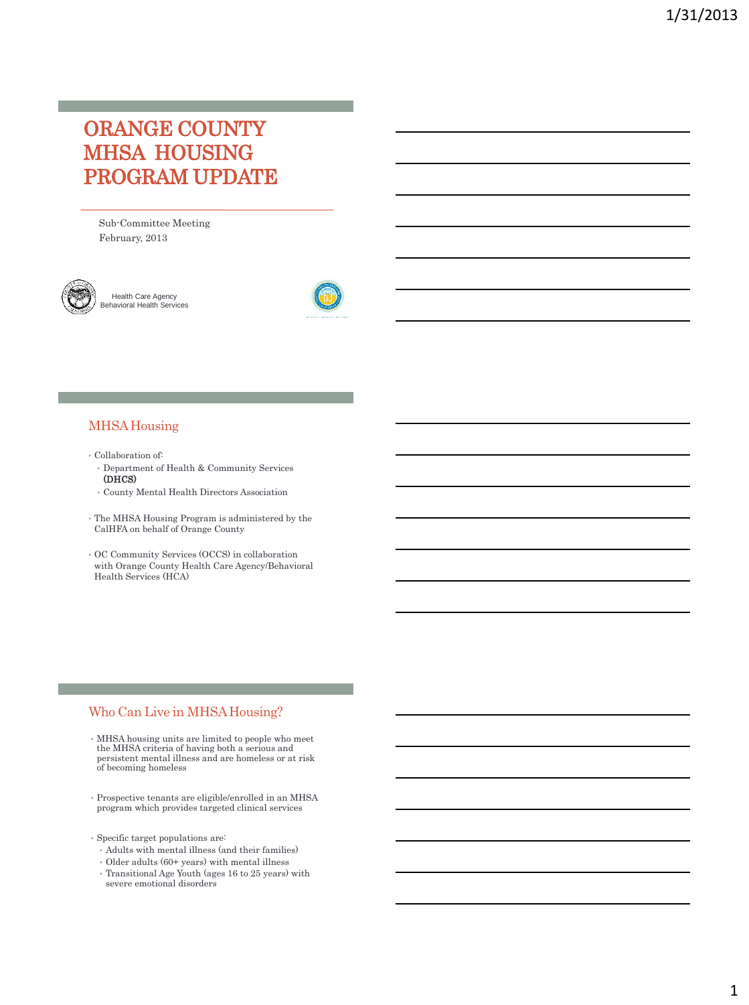# ORANGE COUNTY MHSA HOUSING PROGRAM UPDATE

Sub-Committee Meeting February, 2013



Health Care Agency Behavioral Health Services



#### MHSA Housing

- Collaboration of:
- Department of Health & Community Services (DHCS)
- County Mental Health Directors Association
- The MHSA Housing Program is administered by the CalHFA on behalf of Orange County
- OC Community Services (OCCS) in collaboration with Orange County Health Care Agency/Behavioral Health Services (HCA)

#### Who Can Live in MHSA Housing?

- MHSA housing units are limited to people who meet the MHSA criteria of having both a serious and persistent mental illness and are homeless or at risk of becoming homeless
- Prospective tenants are eligible/enrolled in an MHSA program which provides targeted clinical services
- Specific target populations are:
	- Adults with mental illness (and their families)
- Older adults (60+ years) with mental illness
- Transitional Age Youth (ages 16 to 25 years) with severe emotional disorders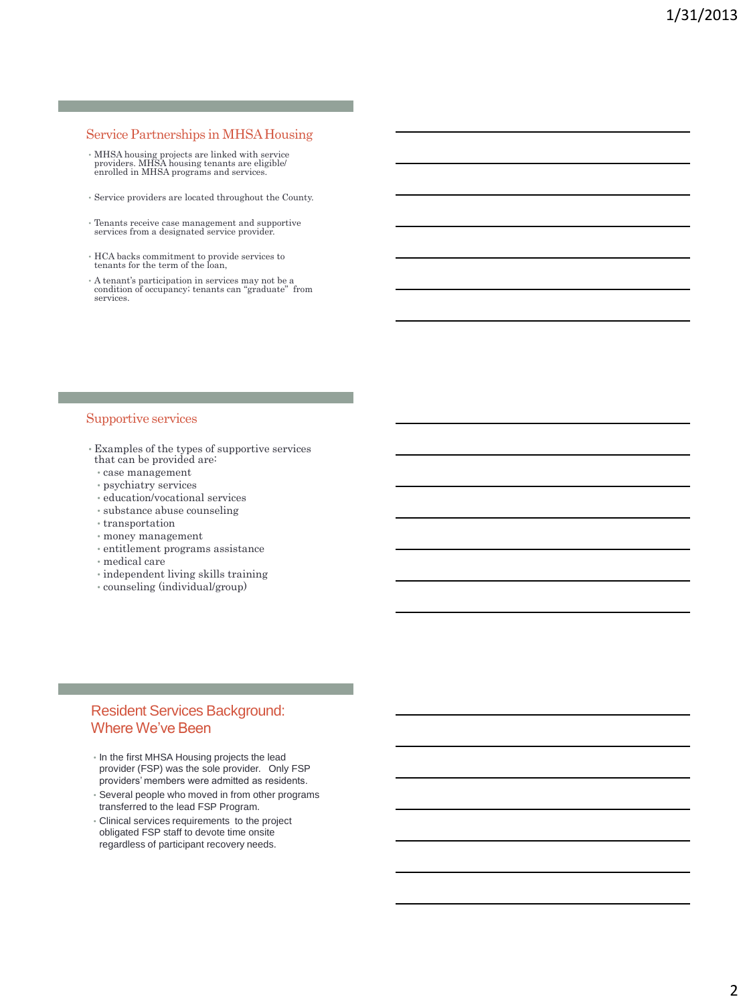#### Service Partnerships in MHSA Housing

- MHSA housing projects are linked with service providers. MHSA housing tenants are eligible/ enrolled in MHSA programs and services.
- Service providers are located throughout the County.
- Tenants receive case management and supportive services from a designated service provider.
- HCA backs commitment to provide services to tenants for the term of the loan,
- A tenant's participation in services may not be a condition of occupancy; tenants can "graduate" from services.

#### Supportive services

- Examples of the types of supportive services that can be provided are:
- case management
- psychiatry services
- education/vocational services
- substance abuse counseling
- transportation
- money management
- entitlement programs assistance
- medical care
- independent living skills training
- counseling (individual/group)

### Resident Services Background: Where We've Been

- In the first MHSA Housing projects the lead provider (FSP) was the sole provider. Only FSP providers' members were admitted as residents.
- Several people who moved in from other programs transferred to the lead FSP Program.
- Clinical services requirements to the project obligated FSP staff to devote time onsite regardless of participant recovery needs.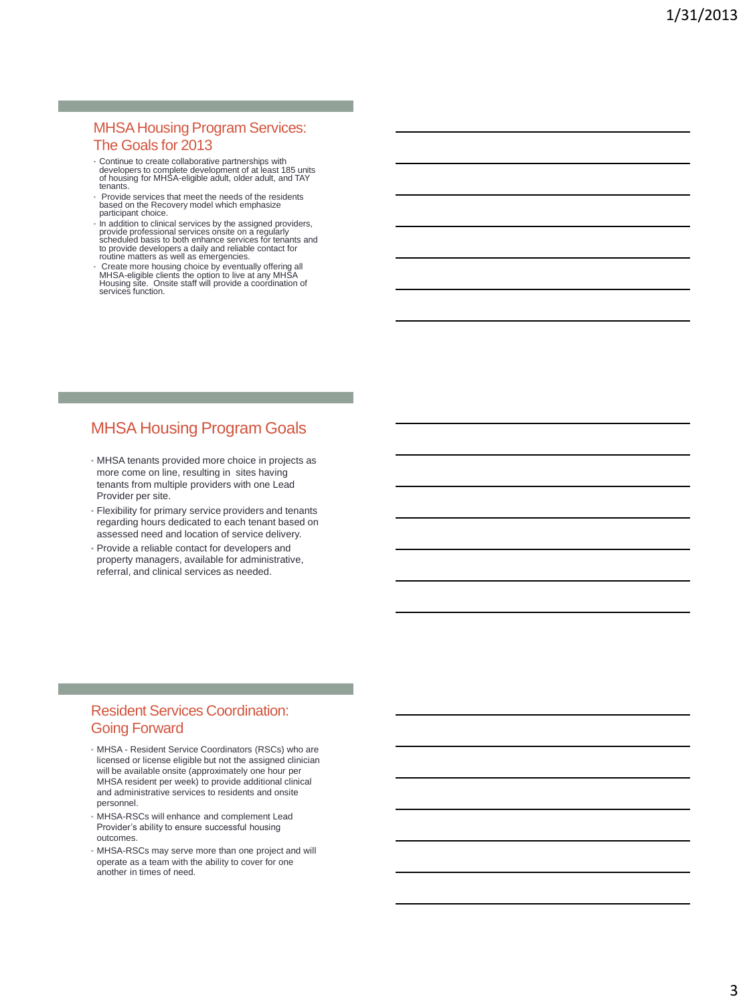### MHSA Housing Program Services: The Goals for 2013

- Continue to create collaborative partnerships with developers to complete development of at least 185 units of housing for MHSA-eligible adult, older adult, and TAY tenants.
- Provide services that meet the needs of the residents based on the Recovery model which emphasize participant choice.
- In addition to clinical services by the assigned providers,<br>provide professional services onsite on a regularly<br>scheduled basis to both enhance services for tenants and<br>to provide developers a daily and reliable contact fo routine matters as well as emergencies.
- Create more housing choice by eventually offering all MHSA-eligible clients the option to live at any MHSA Housing site. Onsite staff will provide a coordination of services function.

# MHSA Housing Program Goals

- MHSA tenants provided more choice in projects as more come on line, resulting in sites having tenants from multiple providers with one Lead Provider per site.
- Flexibility for primary service providers and tenants regarding hours dedicated to each tenant based on assessed need and location of service delivery.
- Provide a reliable contact for developers and property managers, available for administrative, referral, and clinical services as needed.

### Resident Services Coordination: Going Forward

- MHSA Resident Service Coordinators (RSCs) who are licensed or license eligible but not the assigned clinician will be available onsite (approximately one hour per MHSA resident per week) to provide additional clinical and administrative services to residents and onsite personnel.
- MHSA-RSCs will enhance and complement Lead Provider's ability to ensure successful housing outcomes.
- MHSA-RSCs may serve more than one project and will operate as a team with the ability to cover for one another in times of need.